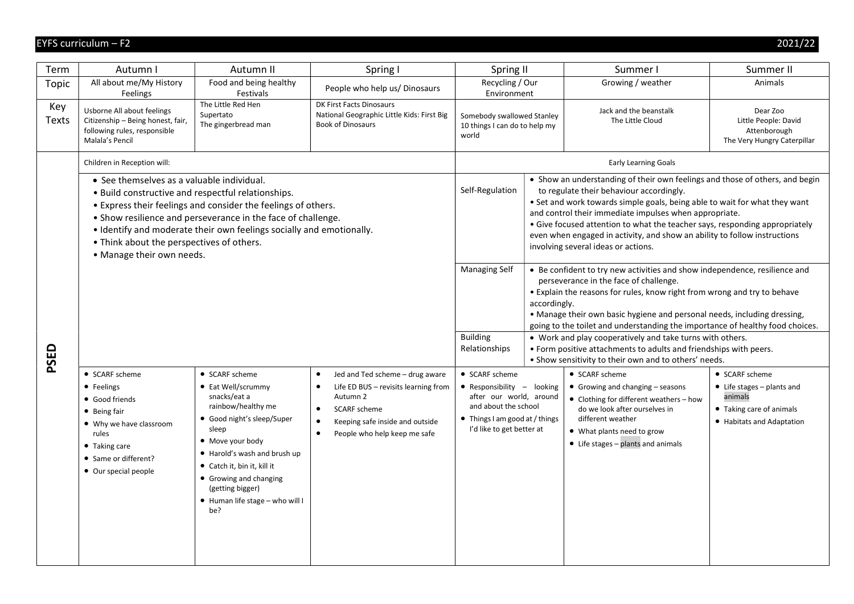| Term         | Autumn I                                                                                                                                                                                                                                                                                                                                                                            | Autumn II                                                                                                                                                                                                                                                                                    | Spring I                                                                                                                                                                                                                                | Spring II                                                                                                                                                      |              | Summer I                                                                                                                                                                                                                                                                                                                                                                                                                                                                                                                                                 | Summer II                                                                                                                |
|--------------|-------------------------------------------------------------------------------------------------------------------------------------------------------------------------------------------------------------------------------------------------------------------------------------------------------------------------------------------------------------------------------------|----------------------------------------------------------------------------------------------------------------------------------------------------------------------------------------------------------------------------------------------------------------------------------------------|-----------------------------------------------------------------------------------------------------------------------------------------------------------------------------------------------------------------------------------------|----------------------------------------------------------------------------------------------------------------------------------------------------------------|--------------|----------------------------------------------------------------------------------------------------------------------------------------------------------------------------------------------------------------------------------------------------------------------------------------------------------------------------------------------------------------------------------------------------------------------------------------------------------------------------------------------------------------------------------------------------------|--------------------------------------------------------------------------------------------------------------------------|
| Topic        | All about me/My History<br>Feelings                                                                                                                                                                                                                                                                                                                                                 | Food and being healthy<br>Festivals                                                                                                                                                                                                                                                          | People who help us/ Dinosaurs                                                                                                                                                                                                           | Recycling / Our<br>Environment                                                                                                                                 |              | Growing / weather                                                                                                                                                                                                                                                                                                                                                                                                                                                                                                                                        | Animals                                                                                                                  |
| Key<br>Texts | Usborne All about feelings<br>Citizenship - Being honest, fair,<br>following rules, responsible<br>Malala's Pencil                                                                                                                                                                                                                                                                  | The Little Red Hen<br>Supertato<br>The gingerbread man                                                                                                                                                                                                                                       | <b>DK First Facts Dinosaurs</b><br>National Geographic Little Kids: First Big<br><b>Book of Dinosaurs</b>                                                                                                                               | Somebody swallowed Stanley<br>10 things I can do to help my<br>world                                                                                           |              | Jack and the beanstalk<br>The Little Cloud                                                                                                                                                                                                                                                                                                                                                                                                                                                                                                               | Dear Zoo<br>Little People: David<br>Attenborough<br>The Very Hungry Caterpillar                                          |
|              | Children in Reception will:                                                                                                                                                                                                                                                                                                                                                         |                                                                                                                                                                                                                                                                                              |                                                                                                                                                                                                                                         |                                                                                                                                                                |              | <b>Early Learning Goals</b>                                                                                                                                                                                                                                                                                                                                                                                                                                                                                                                              |                                                                                                                          |
|              | • See themselves as a valuable individual.<br>. Build constructive and respectful relationships.<br>• Express their feelings and consider the feelings of others.<br>• Show resilience and perseverance in the face of challenge.<br>• Identify and moderate their own feelings socially and emotionally.<br>• Think about the perspectives of others.<br>• Manage their own needs. |                                                                                                                                                                                                                                                                                              |                                                                                                                                                                                                                                         |                                                                                                                                                                |              | • Show an understanding of their own feelings and those of others, and begin<br>to regulate their behaviour accordingly.<br>• Set and work towards simple goals, being able to wait for what they want<br>and control their immediate impulses when appropriate.<br>• Give focused attention to what the teacher says, responding appropriately<br>even when engaged in activity, and show an ability to follow instructions<br>involving several ideas or actions.                                                                                      |                                                                                                                          |
| PSED         |                                                                                                                                                                                                                                                                                                                                                                                     |                                                                                                                                                                                                                                                                                              |                                                                                                                                                                                                                                         | <b>Managing Self</b><br><b>Building</b><br>Relationships                                                                                                       | accordingly. | • Be confident to try new activities and show independence, resilience and<br>perseverance in the face of challenge.<br>• Explain the reasons for rules, know right from wrong and try to behave<br>• Manage their own basic hygiene and personal needs, including dressing,<br>going to the toilet and understanding the importance of healthy food choices.<br>• Work and play cooperatively and take turns with others.<br>• Form positive attachments to adults and friendships with peers.<br>. Show sensitivity to their own and to others' needs. |                                                                                                                          |
|              | • SCARF scheme<br>• Feelings<br>• Good friends<br>• Being fair<br>• Why we have classroom<br>rules<br>• Taking care<br>• Same or different?<br>• Our special people                                                                                                                                                                                                                 | • SCARF scheme<br>• Eat Well/scrummy<br>snacks/eat a<br>rainbow/healthy me<br>• Good night's sleep/Super<br>sleep<br>• Move your body<br>• Harold's wash and brush up<br>• Catch it, bin it, kill it<br>• Growing and changing<br>(getting bigger)<br>• Human life stage - who will I<br>be? | $\bullet$<br>Jed and Ted scheme - drug aware<br>Life ED BUS - revisits learning from<br>$\bullet$<br>Autumn 2<br>SCARF scheme<br>$\bullet$<br>Keeping safe inside and outside<br>$\bullet$<br>People who help keep me safe<br>$\bullet$ | • SCARF scheme<br>• Responsibility - looking<br>after our world, around<br>and about the school<br>• Things I am good at / things<br>I'd like to get better at |              | • SCARF scheme<br>• Growing and changing $-$ seasons<br>• Clothing for different weathers - how<br>do we look after ourselves in<br>different weather<br>• What plants need to grow<br>• Life stages - plants and animals                                                                                                                                                                                                                                                                                                                                | • SCARF scheme<br>$\bullet$ Life stages - plants and<br>animals<br>• Taking care of animals<br>• Habitats and Adaptation |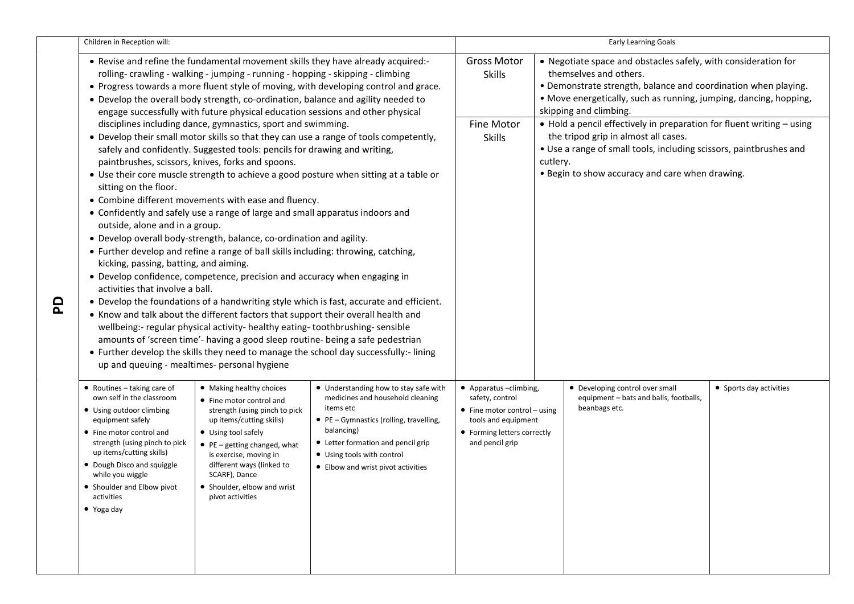|          | Children in Reception will:                                                                                                                                                                                                                                                                                           |                                                                                                                                                                                                                                                                                                                                                                                                                                                                                                                                                                                                                                                                                                                                                                                                                                           |                                                                                                                                                                                                                                                                                                                                                                    | Early Learning Goals                                                                                                                                      |                                                                                                                                                                                                                                                           |                                                                                                                                                                                                                                        |                         |
|----------|-----------------------------------------------------------------------------------------------------------------------------------------------------------------------------------------------------------------------------------------------------------------------------------------------------------------------|-------------------------------------------------------------------------------------------------------------------------------------------------------------------------------------------------------------------------------------------------------------------------------------------------------------------------------------------------------------------------------------------------------------------------------------------------------------------------------------------------------------------------------------------------------------------------------------------------------------------------------------------------------------------------------------------------------------------------------------------------------------------------------------------------------------------------------------------|--------------------------------------------------------------------------------------------------------------------------------------------------------------------------------------------------------------------------------------------------------------------------------------------------------------------------------------------------------------------|-----------------------------------------------------------------------------------------------------------------------------------------------------------|-----------------------------------------------------------------------------------------------------------------------------------------------------------------------------------------------------------------------------------------------------------|----------------------------------------------------------------------------------------------------------------------------------------------------------------------------------------------------------------------------------------|-------------------------|
|          |                                                                                                                                                                                                                                                                                                                       | rolling-crawling - walking - jumping - running - hopping - skipping - climbing<br>• Develop the overall body strength, co-ordination, balance and agility needed to<br>engage successfully with future physical education sessions and other physical                                                                                                                                                                                                                                                                                                                                                                                                                                                                                                                                                                                     | • Revise and refine the fundamental movement skills they have already acquired:-<br>. Progress towards a more fluent style of moving, with developing control and grace.                                                                                                                                                                                           | <b>Gross Motor</b><br><b>Skills</b>                                                                                                                       | • Negotiate space and obstacles safely, with consideration for<br>themselves and others.<br>• Demonstrate strength, balance and coordination when playing.<br>• Move energetically, such as running, jumping, dancing, hopping,<br>skipping and climbing. |                                                                                                                                                                                                                                        |                         |
| <u>ଇ</u> | sitting on the floor.<br>outside, alone and in a group.<br>kicking, passing, batting, and aiming.<br>activities that involve a ball.<br>up and queuing - mealtimes- personal hygiene                                                                                                                                  | disciplines including dance, gymnastics, sport and swimming.<br>safely and confidently. Suggested tools: pencils for drawing and writing,<br>paintbrushes, scissors, knives, forks and spoons.<br>• Combine different movements with ease and fluency.<br>• Confidently and safely use a range of large and small apparatus indoors and<br>• Develop overall body-strength, balance, co-ordination and agility.<br>• Further develop and refine a range of ball skills including: throwing, catching,<br>• Develop confidence, competence, precision and accuracy when engaging in<br>• Know and talk about the different factors that support their overall health and<br>wellbeing:- regular physical activity- healthy eating-toothbrushing-sensible<br>amounts of 'screen time'- having a good sleep routine- being a safe pedestrian | • Develop their small motor skills so that they can use a range of tools competently,<br>• Use their core muscle strength to achieve a good posture when sitting at a table or<br>• Develop the foundations of a handwriting style which is fast, accurate and efficient.<br>• Further develop the skills they need to manage the school day successfully:- lining | <b>Fine Motor</b><br><b>Skills</b>                                                                                                                        | cutlery.                                                                                                                                                                                                                                                  | • Hold a pencil effectively in preparation for fluent writing - using<br>the tripod grip in almost all cases.<br>• Use a range of small tools, including scissors, paintbrushes and<br>• Begin to show accuracy and care when drawing. |                         |
|          | • Routines - taking care of<br>own self in the classroom<br>• Using outdoor climbing<br>equipment safely<br>• Fine motor control and<br>strength (using pinch to pick<br>up items/cutting skills)<br>• Dough Disco and squiggle<br>while you wiggle<br>• Shoulder and Elbow pivot<br>activities<br>$\bullet$ Yoga day | • Making healthy choices<br>• Fine motor control and<br>strength (using pinch to pick<br>up items/cutting skills)<br>• Using tool safely<br>$\bullet$ PE - getting changed, what<br>is exercise, moving in<br>different ways (linked to<br>SCARF), Dance<br>• Shoulder, elbow and wrist<br>pivot activities                                                                                                                                                                                                                                                                                                                                                                                                                                                                                                                               | • Understanding how to stay safe with<br>medicines and household cleaning<br>items etc<br>• PE - Gymnastics (rolling, travelling,<br>balancing)<br>• Letter formation and pencil grip<br>• Using tools with control<br>• Elbow and wrist pivot activities                                                                                                          | • Apparatus-climbing,<br>safety, control<br>$\bullet$ Fine motor control – using<br>tools and equipment<br>• Forming letters correctly<br>and pencil grip |                                                                                                                                                                                                                                                           | • Developing control over small<br>equipment - bats and balls, footballs,<br>beanbags etc.                                                                                                                                             | • Sports day activities |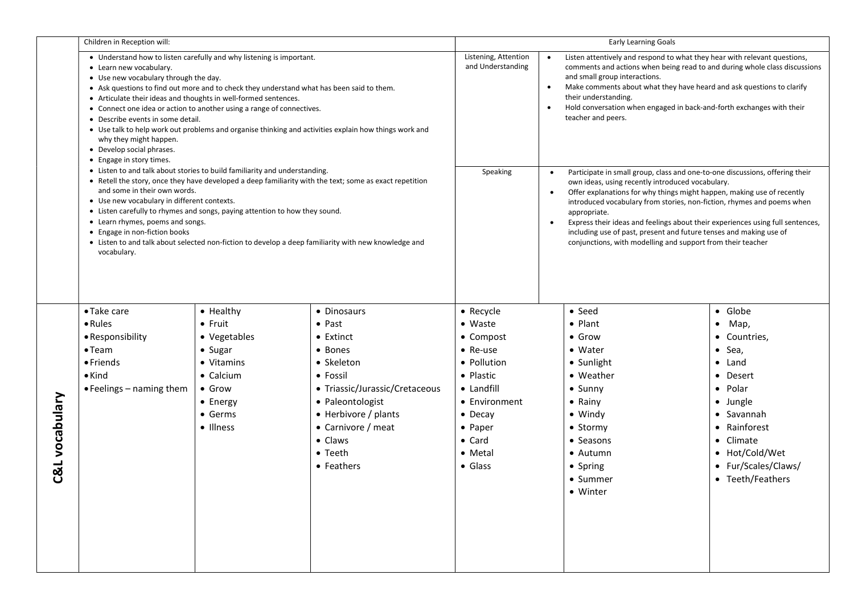|                | Children in Reception will:                                                                                                                                                                                                                                                                                                                                                                                                                                                                                                                                                                                                                                                                                                                                                                                                                                                                                                                                                                                                                                                                                                                                           |                             |                                                    | <b>Early Learning Goals</b>               |                                                                                                                                                                                                                                                                                                                                                                                                                                                                                                                                          |                                                                                                                                                                                                                                                                                                                                                                                          |                                |  |
|----------------|-----------------------------------------------------------------------------------------------------------------------------------------------------------------------------------------------------------------------------------------------------------------------------------------------------------------------------------------------------------------------------------------------------------------------------------------------------------------------------------------------------------------------------------------------------------------------------------------------------------------------------------------------------------------------------------------------------------------------------------------------------------------------------------------------------------------------------------------------------------------------------------------------------------------------------------------------------------------------------------------------------------------------------------------------------------------------------------------------------------------------------------------------------------------------|-----------------------------|----------------------------------------------------|-------------------------------------------|------------------------------------------------------------------------------------------------------------------------------------------------------------------------------------------------------------------------------------------------------------------------------------------------------------------------------------------------------------------------------------------------------------------------------------------------------------------------------------------------------------------------------------------|------------------------------------------------------------------------------------------------------------------------------------------------------------------------------------------------------------------------------------------------------------------------------------------------------------------------------------------------------------------------------------------|--------------------------------|--|
|                | • Understand how to listen carefully and why listening is important.<br>• Learn new vocabulary.<br>• Use new vocabulary through the day.<br>• Ask questions to find out more and to check they understand what has been said to them.<br>• Articulate their ideas and thoughts in well-formed sentences.<br>• Connect one idea or action to another using a range of connectives.<br>• Describe events in some detail.<br>• Use talk to help work out problems and organise thinking and activities explain how things work and<br>why they might happen.<br>• Develop social phrases.<br>• Engage in story times.<br>• Listen to and talk about stories to build familiarity and understanding.<br>• Retell the story, once they have developed a deep familiarity with the text; some as exact repetition<br>and some in their own words.<br>• Use new vocabulary in different contexts.<br>• Listen carefully to rhymes and songs, paying attention to how they sound.<br>• Learn rhymes, poems and songs.<br>• Engage in non-fiction books<br>• Listen to and talk about selected non-fiction to develop a deep familiarity with new knowledge and<br>vocabulary. |                             |                                                    | Listening, Attention<br>and Understanding | $\bullet$<br>$\bullet$                                                                                                                                                                                                                                                                                                                                                                                                                                                                                                                   | Listen attentively and respond to what they hear with relevant questions,<br>comments and actions when being read to and during whole class discussions<br>and small group interactions.<br>Make comments about what they have heard and ask questions to clarify<br>their understanding.<br>Hold conversation when engaged in back-and-forth exchanges with their<br>teacher and peers. |                                |  |
|                |                                                                                                                                                                                                                                                                                                                                                                                                                                                                                                                                                                                                                                                                                                                                                                                                                                                                                                                                                                                                                                                                                                                                                                       |                             |                                                    | Speaking                                  | Participate in small group, class and one-to-one discussions, offering their<br>own ideas, using recently introduced vocabulary.<br>Offer explanations for why things might happen, making use of recently<br>introduced vocabulary from stories, non-fiction, rhymes and poems when<br>appropriate.<br>Express their ideas and feelings about their experiences using full sentences,<br>$\bullet$<br>including use of past, present and future tenses and making use of<br>conjunctions, with modelling and support from their teacher |                                                                                                                                                                                                                                                                                                                                                                                          |                                |  |
|                | • Take care                                                                                                                                                                                                                                                                                                                                                                                                                                                                                                                                                                                                                                                                                                                                                                                                                                                                                                                                                                                                                                                                                                                                                           | • Healthy                   | • Dinosaurs                                        | • Recycle                                 |                                                                                                                                                                                                                                                                                                                                                                                                                                                                                                                                          | • Seed                                                                                                                                                                                                                                                                                                                                                                                   | · Globe                        |  |
|                | • Rules                                                                                                                                                                                                                                                                                                                                                                                                                                                                                                                                                                                                                                                                                                                                                                                                                                                                                                                                                                                                                                                                                                                                                               | $\bullet$ Fruit             | $\bullet$ Past                                     | $\bullet$ Waste                           |                                                                                                                                                                                                                                                                                                                                                                                                                                                                                                                                          | $\bullet$ Plant                                                                                                                                                                                                                                                                                                                                                                          | $•$ Map,                       |  |
|                | • Responsibility                                                                                                                                                                                                                                                                                                                                                                                                                                                                                                                                                                                                                                                                                                                                                                                                                                                                                                                                                                                                                                                                                                                                                      | • Vegetables                | • Extinct                                          | • Compost                                 |                                                                                                                                                                                                                                                                                                                                                                                                                                                                                                                                          | $\bullet$ Grow                                                                                                                                                                                                                                                                                                                                                                           | • Countries,                   |  |
|                | $\bullet$ Team                                                                                                                                                                                                                                                                                                                                                                                                                                                                                                                                                                                                                                                                                                                                                                                                                                                                                                                                                                                                                                                                                                                                                        | • Sugar                     | • Bones                                            | $\bullet$ Re-use                          |                                                                                                                                                                                                                                                                                                                                                                                                                                                                                                                                          | • Water                                                                                                                                                                                                                                                                                                                                                                                  | $•$ Sea,                       |  |
|                | $\bullet$ Friends                                                                                                                                                                                                                                                                                                                                                                                                                                                                                                                                                                                                                                                                                                                                                                                                                                                                                                                                                                                                                                                                                                                                                     | • Vitamins                  | • Skeleton                                         | • Pollution                               |                                                                                                                                                                                                                                                                                                                                                                                                                                                                                                                                          | • Sunlight                                                                                                                                                                                                                                                                                                                                                                               | $\bullet$ Land                 |  |
|                | $\bullet$ Kind                                                                                                                                                                                                                                                                                                                                                                                                                                                                                                                                                                                                                                                                                                                                                                                                                                                                                                                                                                                                                                                                                                                                                        | $\bullet$ Calcium           | • Fossil                                           | • Plastic                                 |                                                                                                                                                                                                                                                                                                                                                                                                                                                                                                                                          | • Weather                                                                                                                                                                                                                                                                                                                                                                                | • Desert                       |  |
|                | $\bullet$ Feelings – naming them                                                                                                                                                                                                                                                                                                                                                                                                                                                                                                                                                                                                                                                                                                                                                                                                                                                                                                                                                                                                                                                                                                                                      | $\bullet$ Grow              | • Triassic/Jurassic/Cretaceous<br>• Paleontologist | • Landfill<br>• Environment               |                                                                                                                                                                                                                                                                                                                                                                                                                                                                                                                                          | $\bullet$ Sunny<br>• Rainy                                                                                                                                                                                                                                                                                                                                                               | $\bullet$ Polar                |  |
|                |                                                                                                                                                                                                                                                                                                                                                                                                                                                                                                                                                                                                                                                                                                                                                                                                                                                                                                                                                                                                                                                                                                                                                                       | • Energy<br>$\bullet$ Germs | • Herbivore / plants                               | $\bullet$ Decay                           |                                                                                                                                                                                                                                                                                                                                                                                                                                                                                                                                          | $\bullet$ Windy                                                                                                                                                                                                                                                                                                                                                                          | • Jungle<br>$\bullet$ Savannah |  |
|                |                                                                                                                                                                                                                                                                                                                                                                                                                                                                                                                                                                                                                                                                                                                                                                                                                                                                                                                                                                                                                                                                                                                                                                       | • Illness                   | • Carnivore / meat                                 | • Paper                                   |                                                                                                                                                                                                                                                                                                                                                                                                                                                                                                                                          | • Stormy                                                                                                                                                                                                                                                                                                                                                                                 | • Rainforest                   |  |
| C&L vocabulary |                                                                                                                                                                                                                                                                                                                                                                                                                                                                                                                                                                                                                                                                                                                                                                                                                                                                                                                                                                                                                                                                                                                                                                       |                             | • Claws                                            | $\bullet$ Card                            |                                                                                                                                                                                                                                                                                                                                                                                                                                                                                                                                          | • Seasons                                                                                                                                                                                                                                                                                                                                                                                | • Climate                      |  |
|                |                                                                                                                                                                                                                                                                                                                                                                                                                                                                                                                                                                                                                                                                                                                                                                                                                                                                                                                                                                                                                                                                                                                                                                       |                             | $\bullet$ Teeth                                    | • Metal                                   |                                                                                                                                                                                                                                                                                                                                                                                                                                                                                                                                          | • Autumn                                                                                                                                                                                                                                                                                                                                                                                 | • Hot/Cold/Wet                 |  |
|                |                                                                                                                                                                                                                                                                                                                                                                                                                                                                                                                                                                                                                                                                                                                                                                                                                                                                                                                                                                                                                                                                                                                                                                       |                             | • Feathers                                         | $\bullet$ Glass                           |                                                                                                                                                                                                                                                                                                                                                                                                                                                                                                                                          | • Spring                                                                                                                                                                                                                                                                                                                                                                                 | • Fur/Scales/Claws/            |  |
|                |                                                                                                                                                                                                                                                                                                                                                                                                                                                                                                                                                                                                                                                                                                                                                                                                                                                                                                                                                                                                                                                                                                                                                                       |                             |                                                    |                                           |                                                                                                                                                                                                                                                                                                                                                                                                                                                                                                                                          | • Summer                                                                                                                                                                                                                                                                                                                                                                                 | • Teeth/Feathers               |  |
|                |                                                                                                                                                                                                                                                                                                                                                                                                                                                                                                                                                                                                                                                                                                                                                                                                                                                                                                                                                                                                                                                                                                                                                                       |                             |                                                    |                                           |                                                                                                                                                                                                                                                                                                                                                                                                                                                                                                                                          | • Winter                                                                                                                                                                                                                                                                                                                                                                                 |                                |  |
|                |                                                                                                                                                                                                                                                                                                                                                                                                                                                                                                                                                                                                                                                                                                                                                                                                                                                                                                                                                                                                                                                                                                                                                                       |                             |                                                    |                                           |                                                                                                                                                                                                                                                                                                                                                                                                                                                                                                                                          |                                                                                                                                                                                                                                                                                                                                                                                          |                                |  |
|                |                                                                                                                                                                                                                                                                                                                                                                                                                                                                                                                                                                                                                                                                                                                                                                                                                                                                                                                                                                                                                                                                                                                                                                       |                             |                                                    |                                           |                                                                                                                                                                                                                                                                                                                                                                                                                                                                                                                                          |                                                                                                                                                                                                                                                                                                                                                                                          |                                |  |
|                |                                                                                                                                                                                                                                                                                                                                                                                                                                                                                                                                                                                                                                                                                                                                                                                                                                                                                                                                                                                                                                                                                                                                                                       |                             |                                                    |                                           |                                                                                                                                                                                                                                                                                                                                                                                                                                                                                                                                          |                                                                                                                                                                                                                                                                                                                                                                                          |                                |  |
|                |                                                                                                                                                                                                                                                                                                                                                                                                                                                                                                                                                                                                                                                                                                                                                                                                                                                                                                                                                                                                                                                                                                                                                                       |                             |                                                    |                                           |                                                                                                                                                                                                                                                                                                                                                                                                                                                                                                                                          |                                                                                                                                                                                                                                                                                                                                                                                          |                                |  |
|                |                                                                                                                                                                                                                                                                                                                                                                                                                                                                                                                                                                                                                                                                                                                                                                                                                                                                                                                                                                                                                                                                                                                                                                       |                             |                                                    |                                           |                                                                                                                                                                                                                                                                                                                                                                                                                                                                                                                                          |                                                                                                                                                                                                                                                                                                                                                                                          |                                |  |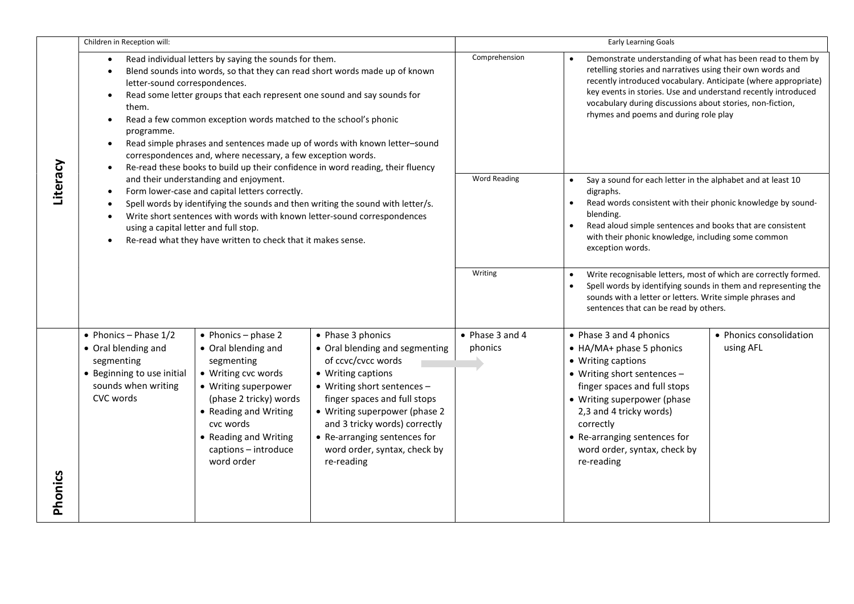|          | Children in Reception will:                                                                                                    |                                                                                                                                                                                                                                                                        |                                                                                                                                                                                                                                                                                                                | <b>Early Learning Goals</b> |                                                                                                                                                                                                                                                                                                                                                                   |                                      |  |
|----------|--------------------------------------------------------------------------------------------------------------------------------|------------------------------------------------------------------------------------------------------------------------------------------------------------------------------------------------------------------------------------------------------------------------|----------------------------------------------------------------------------------------------------------------------------------------------------------------------------------------------------------------------------------------------------------------------------------------------------------------|-----------------------------|-------------------------------------------------------------------------------------------------------------------------------------------------------------------------------------------------------------------------------------------------------------------------------------------------------------------------------------------------------------------|--------------------------------------|--|
|          | $\bullet$<br>letter-sound correspondences.<br>$\bullet$<br>them.<br>$\bullet$<br>programme.<br>$\bullet$                       | Read individual letters by saying the sounds for them.<br>Read some letter groups that each represent one sound and say sounds for<br>Read a few common exception words matched to the school's phonic<br>correspondences and, where necessary, a few exception words. | Blend sounds into words, so that they can read short words made up of known<br>Read simple phrases and sentences made up of words with known letter-sound<br>Re-read these books to build up their confidence in word reading, their fluency                                                                   | Comprehension               | Demonstrate understanding of what has been read to them by<br>retelling stories and narratives using their own words and<br>recently introduced vocabulary. Anticipate (where appropriate)<br>key events in stories. Use and understand recently introduced<br>vocabulary during discussions about stories, non-fiction,<br>rhymes and poems and during role play |                                      |  |
| Literacy | ٠<br>$\bullet$<br>using a capital letter and full stop.                                                                        | and their understanding and enjoyment.<br>Form lower-case and capital letters correctly.<br>Re-read what they have written to check that it makes sense.                                                                                                               | Spell words by identifying the sounds and then writing the sound with letter/s.<br>Write short sentences with words with known letter-sound correspondences                                                                                                                                                    | <b>Word Reading</b>         | Say a sound for each letter in the alphabet and at least 10<br>digraphs.<br>Read words consistent with their phonic knowledge by sound-<br>$\bullet$<br>blending.<br>Read aloud simple sentences and books that are consistent<br>$\bullet$<br>with their phonic knowledge, including some common<br>exception words.                                             |                                      |  |
|          |                                                                                                                                |                                                                                                                                                                                                                                                                        |                                                                                                                                                                                                                                                                                                                | Writing                     | Write recognisable letters, most of which are correctly formed.<br>$\bullet$<br>Spell words by identifying sounds in them and representing the<br>sounds with a letter or letters. Write simple phrases and<br>sentences that can be read by others.                                                                                                              |                                      |  |
|          | • Phonics - Phase $1/2$<br>• Oral blending and<br>segmenting<br>• Beginning to use initial<br>sounds when writing<br>CVC words | $\bullet$ Phonics - phase 2<br>• Oral blending and<br>segmenting<br>• Writing cvc words<br>• Writing superpower<br>(phase 2 tricky) words<br>• Reading and Writing<br>cvc words<br>• Reading and Writing<br>captions - introduce<br>word order                         | • Phase 3 phonics<br>• Oral blending and segmenting<br>of ccvc/cvcc words<br>• Writing captions<br>• Writing short sentences -<br>finger spaces and full stops<br>• Writing superpower (phase 2<br>and 3 tricky words) correctly<br>• Re-arranging sentences for<br>word order, syntax, check by<br>re-reading | • Phase 3 and 4<br>phonics  | • Phase 3 and 4 phonics<br>• HA/MA+ phase 5 phonics<br>• Writing captions<br>• Writing short sentences -<br>finger spaces and full stops<br>• Writing superpower (phase<br>2,3 and 4 tricky words)<br>correctly<br>• Re-arranging sentences for<br>word order, syntax, check by<br>re-reading                                                                     | • Phonics consolidation<br>using AFL |  |
| Phonics  |                                                                                                                                |                                                                                                                                                                                                                                                                        |                                                                                                                                                                                                                                                                                                                |                             |                                                                                                                                                                                                                                                                                                                                                                   |                                      |  |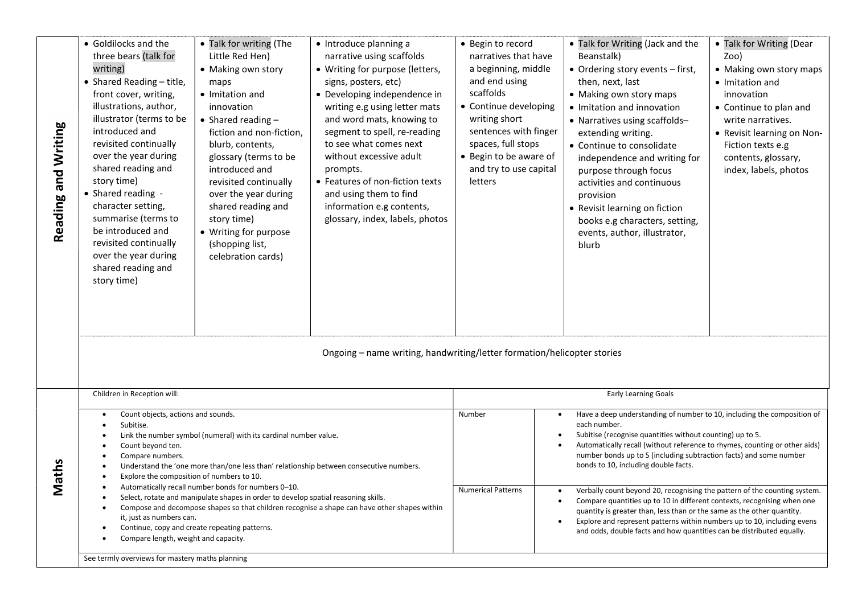| Reading and Writing | • Goldilocks and the<br>three bears (talk for<br>writing)<br>• Shared Reading - title,<br>front cover, writing,<br>illustrations, author,<br>illustrator (terms to be<br>introduced and<br>revisited continually<br>over the year during<br>shared reading and<br>story time)<br>• Shared reading -<br>character setting,<br>summarise (terms to<br>be introduced and<br>revisited continually<br>over the year during<br>shared reading and<br>story time)                                                                                                                                                                                                                | • Talk for writing (The<br>Little Red Hen)<br>• Making own story<br>maps<br>• Imitation and<br>innovation<br>• Shared reading $-$<br>fiction and non-fiction,<br>blurb, contents,<br>glossary (terms to be<br>introduced and<br>revisited continually<br>over the year during<br>shared reading and<br>story time)<br>• Writing for purpose<br>(shopping list,<br>celebration cards) | • Introduce planning a<br>narrative using scaffolds<br>• Writing for purpose (letters,<br>signs, posters, etc)<br>• Developing independence in<br>writing e.g using letter mats<br>and word mats, knowing to<br>segment to spell, re-reading<br>to see what comes next<br>without excessive adult<br>prompts.<br>• Features of non-fiction texts<br>and using them to find<br>information e.g contents,<br>glossary, index, labels, photos<br>Ongoing - name writing, handwriting/letter formation/helicopter stories | • Begin to record<br>narratives that have<br>a beginning, middle<br>and end using<br>scaffolds<br>• Continue developing<br>writing short<br>sentences with finger<br>spaces, full stops<br>• Begin to be aware of<br>and try to use capital<br>letters | • Talk for Writing (Jack and the<br>Beanstalk)<br>• Ordering story events - first,<br>then, next, last<br>• Making own story maps<br>• Imitation and innovation<br>• Narratives using scaffolds-<br>extending writing.<br>• Continue to consolidate<br>independence and writing for<br>purpose through focus<br>activities and continuous<br>provision<br>• Revisit learning on fiction<br>books e.g characters, setting,<br>events, author, illustrator,<br>blurb                                                                                                                                                                                                                                                                                                            | • Talk for Writing (Dear<br>Zoo)<br>• Making own story maps<br>• Imitation and<br>innovation<br>• Continue to plan and<br>write narratives.<br>• Revisit learning on Non-<br>Fiction texts e.g<br>contents, glossary,<br>index, labels, photos |
|---------------------|----------------------------------------------------------------------------------------------------------------------------------------------------------------------------------------------------------------------------------------------------------------------------------------------------------------------------------------------------------------------------------------------------------------------------------------------------------------------------------------------------------------------------------------------------------------------------------------------------------------------------------------------------------------------------|--------------------------------------------------------------------------------------------------------------------------------------------------------------------------------------------------------------------------------------------------------------------------------------------------------------------------------------------------------------------------------------|-----------------------------------------------------------------------------------------------------------------------------------------------------------------------------------------------------------------------------------------------------------------------------------------------------------------------------------------------------------------------------------------------------------------------------------------------------------------------------------------------------------------------|--------------------------------------------------------------------------------------------------------------------------------------------------------------------------------------------------------------------------------------------------------|-------------------------------------------------------------------------------------------------------------------------------------------------------------------------------------------------------------------------------------------------------------------------------------------------------------------------------------------------------------------------------------------------------------------------------------------------------------------------------------------------------------------------------------------------------------------------------------------------------------------------------------------------------------------------------------------------------------------------------------------------------------------------------|------------------------------------------------------------------------------------------------------------------------------------------------------------------------------------------------------------------------------------------------|
|                     | Children in Reception will:                                                                                                                                                                                                                                                                                                                                                                                                                                                                                                                                                                                                                                                |                                                                                                                                                                                                                                                                                                                                                                                      |                                                                                                                                                                                                                                                                                                                                                                                                                                                                                                                       |                                                                                                                                                                                                                                                        | Early Learning Goals                                                                                                                                                                                                                                                                                                                                                                                                                                                                                                                                                                                                                                                                                                                                                          |                                                                                                                                                                                                                                                |
| Maths               | Count objects, actions and sounds.<br>Subitise.<br>Link the number symbol (numeral) with its cardinal number value.<br>Count beyond ten.<br>Compare numbers.<br>Understand the 'one more than/one less than' relationship between consecutive numbers.<br>Explore the composition of numbers to 10.<br>Automatically recall number bonds for numbers 0-10.<br>Select, rotate and manipulate shapes in order to develop spatial reasoning skills.<br>Compose and decompose shapes so that children recognise a shape can have other shapes within<br>٠<br>it, just as numbers can.<br>Continue, copy and create repeating patterns.<br>Compare length, weight and capacity. |                                                                                                                                                                                                                                                                                                                                                                                      |                                                                                                                                                                                                                                                                                                                                                                                                                                                                                                                       | Number<br><b>Numerical Patterns</b>                                                                                                                                                                                                                    | Have a deep understanding of number to 10, including the composition of<br>$\bullet$<br>each number.<br>Subitise (recognise quantities without counting) up to 5.<br>Automatically recall (without reference to rhymes, counting or other aids)<br>number bonds up to 5 (including subtraction facts) and some number<br>bonds to 10, including double facts.<br>Verbally count beyond 20, recognising the pattern of the counting system.<br>Compare quantities up to 10 in different contexts, recognising when one<br>$\bullet$<br>quantity is greater than, less than or the same as the other quantity.<br>Explore and represent patterns within numbers up to 10, including evens<br>$\bullet$<br>and odds, double facts and how quantities can be distributed equally. |                                                                                                                                                                                                                                                |
|                     | See termly overviews for mastery maths planning                                                                                                                                                                                                                                                                                                                                                                                                                                                                                                                                                                                                                            |                                                                                                                                                                                                                                                                                                                                                                                      |                                                                                                                                                                                                                                                                                                                                                                                                                                                                                                                       |                                                                                                                                                                                                                                                        |                                                                                                                                                                                                                                                                                                                                                                                                                                                                                                                                                                                                                                                                                                                                                                               |                                                                                                                                                                                                                                                |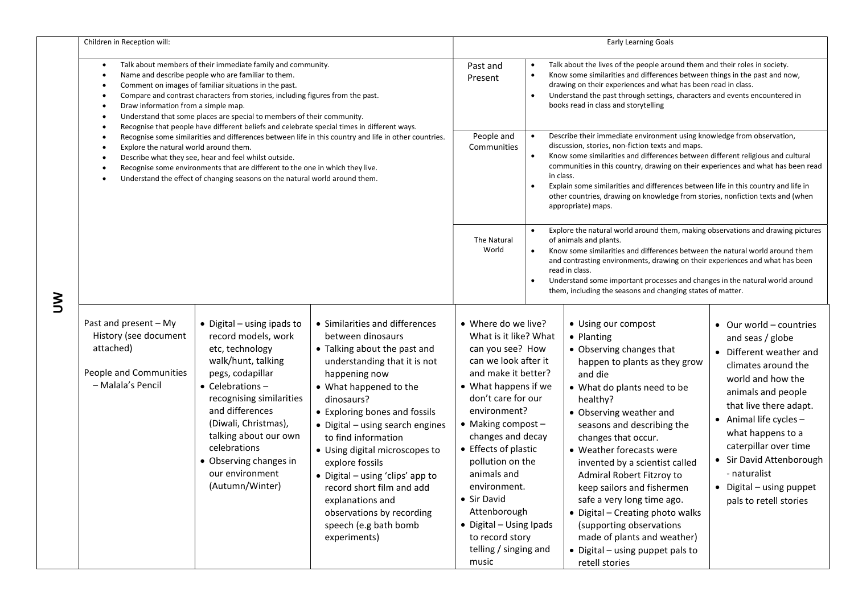|        | Children in Reception will:                                                                                                                                                                                                                                                                                                                                                                                                                                                                    |                                                                                                                                                                                                                                                                                                                                    |                                                                                                                                                                                                                                                                                                                                                                                                                                                                                          | Early Learning Goals                                                                                                                                                                                                                                                                                                                                                                                                       |                                                                                                                                                                                                                                                                                                                                                                                                                                                                                                                                                     |                                                                                                                                                                                                                                                                                                                                                                                                                                                                                                                                                         |                                                                                                                                                                                                                                                                                                                                              |
|--------|------------------------------------------------------------------------------------------------------------------------------------------------------------------------------------------------------------------------------------------------------------------------------------------------------------------------------------------------------------------------------------------------------------------------------------------------------------------------------------------------|------------------------------------------------------------------------------------------------------------------------------------------------------------------------------------------------------------------------------------------------------------------------------------------------------------------------------------|------------------------------------------------------------------------------------------------------------------------------------------------------------------------------------------------------------------------------------------------------------------------------------------------------------------------------------------------------------------------------------------------------------------------------------------------------------------------------------------|----------------------------------------------------------------------------------------------------------------------------------------------------------------------------------------------------------------------------------------------------------------------------------------------------------------------------------------------------------------------------------------------------------------------------|-----------------------------------------------------------------------------------------------------------------------------------------------------------------------------------------------------------------------------------------------------------------------------------------------------------------------------------------------------------------------------------------------------------------------------------------------------------------------------------------------------------------------------------------------------|---------------------------------------------------------------------------------------------------------------------------------------------------------------------------------------------------------------------------------------------------------------------------------------------------------------------------------------------------------------------------------------------------------------------------------------------------------------------------------------------------------------------------------------------------------|----------------------------------------------------------------------------------------------------------------------------------------------------------------------------------------------------------------------------------------------------------------------------------------------------------------------------------------------|
|        | Talk about members of their immediate family and community.<br>Name and describe people who are familiar to them.<br>Comment on images of familiar situations in the past.<br>Compare and contrast characters from stories, including figures from the past.<br>Draw information from a simple map.<br>Understand that some places are special to members of their community.<br>٠<br>Recognise that people have different beliefs and celebrate special times in different ways.<br>$\bullet$ |                                                                                                                                                                                                                                                                                                                                    |                                                                                                                                                                                                                                                                                                                                                                                                                                                                                          |                                                                                                                                                                                                                                                                                                                                                                                                                            | $\bullet$<br>$\bullet$<br>$\bullet$                                                                                                                                                                                                                                                                                                                                                                                                                                                                                                                 | Talk about the lives of the people around them and their roles in society.<br>Know some similarities and differences between things in the past and now,<br>drawing on their experiences and what has been read in class.<br>Understand the past through settings, characters and events encountered in<br>books read in class and storytelling                                                                                                                                                                                                         |                                                                                                                                                                                                                                                                                                                                              |
|        | Recognise some similarities and differences between life in this country and life in other countries.<br>Explore the natural world around them.<br>Describe what they see, hear and feel whilst outside.<br>٠<br>Recognise some environments that are different to the one in which they live.<br>Understand the effect of changing seasons on the natural world around them.                                                                                                                  |                                                                                                                                                                                                                                                                                                                                    |                                                                                                                                                                                                                                                                                                                                                                                                                                                                                          | People and<br>Communities                                                                                                                                                                                                                                                                                                                                                                                                  | Describe their immediate environment using knowledge from observation,<br>$\bullet$<br>discussion, stories, non-fiction texts and maps.<br>Know some similarities and differences between different religious and cultural<br>$\bullet$<br>communities in this country, drawing on their experiences and what has been read<br>in class.<br>Explain some similarities and differences between life in this country and life in<br>$\bullet$<br>other countries, drawing on knowledge from stories, nonfiction texts and (when<br>appropriate) maps. |                                                                                                                                                                                                                                                                                                                                                                                                                                                                                                                                                         |                                                                                                                                                                                                                                                                                                                                              |
| ろ<br>つ |                                                                                                                                                                                                                                                                                                                                                                                                                                                                                                |                                                                                                                                                                                                                                                                                                                                    |                                                                                                                                                                                                                                                                                                                                                                                                                                                                                          | The Natural<br>World                                                                                                                                                                                                                                                                                                                                                                                                       | $\bullet$<br>$\bullet$<br>$\bullet$                                                                                                                                                                                                                                                                                                                                                                                                                                                                                                                 | Explore the natural world around them, making observations and drawing pictures<br>of animals and plants.<br>Know some similarities and differences between the natural world around them<br>and contrasting environments, drawing on their experiences and what has been<br>read in class.<br>Understand some important processes and changes in the natural world around<br>them, including the seasons and changing states of matter.                                                                                                                |                                                                                                                                                                                                                                                                                                                                              |
|        | Past and present - My<br>History (see document<br>attached)<br>People and Communities<br>- Malala's Pencil                                                                                                                                                                                                                                                                                                                                                                                     | $\bullet$ Digital – using ipads to<br>record models, work<br>etc, technology<br>walk/hunt, talking<br>pegs, codapillar<br>$\bullet$ Celebrations -<br>recognising similarities<br>and differences<br>(Diwali, Christmas),<br>talking about our own<br>celebrations<br>• Observing changes in<br>our environment<br>(Autumn/Winter) | • Similarities and differences<br>between dinosaurs<br>• Talking about the past and<br>understanding that it is not<br>happening now<br>• What happened to the<br>dinosaurs?<br>• Exploring bones and fossils<br>• Digital - using search engines<br>to find information<br>• Using digital microscopes to<br>explore fossils<br>• Digital - using 'clips' app to<br>record short film and add<br>explanations and<br>observations by recording<br>speech (e.g bath bomb<br>experiments) | • Where do we live?<br>What is it like? What<br>can you see? How<br>can we look after it<br>and make it better?<br>• What happens if we<br>don't care for our<br>environment?<br>$\bullet$ Making compost -<br>changes and decay<br>• Effects of plastic<br>pollution on the<br>animals and<br>environment.<br>• Sir David<br>Attenborough<br>• Digital - Using Ipads<br>to record story<br>telling / singing and<br>music |                                                                                                                                                                                                                                                                                                                                                                                                                                                                                                                                                     | • Using our compost<br>• Planting<br>• Observing changes that<br>happen to plants as they grow<br>and die<br>• What do plants need to be<br>healthy?<br>• Observing weather and<br>seasons and describing the<br>changes that occur.<br>• Weather forecasts were<br>invented by a scientist called<br><b>Admiral Robert Fitzroy to</b><br>keep sailors and fishermen<br>safe a very long time ago.<br>• Digital - Creating photo walks<br>(supporting observations<br>made of plants and weather)<br>• Digital - using puppet pals to<br>retell stories | • Our world - countries<br>and seas / globe<br>• Different weather and<br>climates around the<br>world and how the<br>animals and people<br>that live there adapt.<br>• Animal life cycles -<br>what happens to a<br>caterpillar over time<br>• Sir David Attenborough<br>- naturalist<br>• Digital - using puppet<br>pals to retell stories |